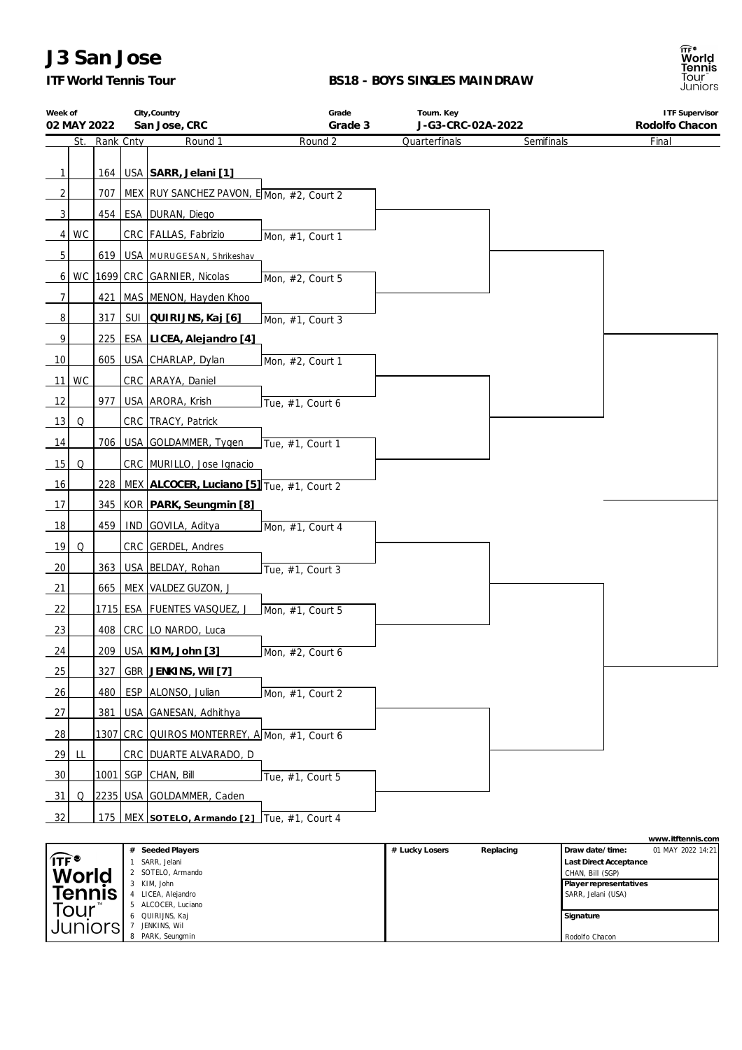## *ITF World Tennis Tour*

#### **BS18 - BOYS SINGLES MAINDRAW**

| Week of        | 02 MAY 2022 |           | City, Country<br>San Jose, CRC                 | Grade<br>Grade 3 | Tourn. Key<br>J-G3-CRC-02A-2022 |            | <b>ITF Supervisor</b><br>Rodolfo Chacon |
|----------------|-------------|-----------|------------------------------------------------|------------------|---------------------------------|------------|-----------------------------------------|
|                | St.         | Rank Cnty | Round 1                                        | Round 2          | Quarterfinals                   | Semifinals | Final                                   |
|                |             |           |                                                |                  |                                 |            |                                         |
| $\mathbf{1}$   |             |           | 164   USA   SARR, Jelani [1]                   |                  |                                 |            |                                         |
| 2              |             | 707       | MEX RUY SANCHEZ PAVON, E Mon, #2, Court 2      |                  |                                 |            |                                         |
| $\mathbf{3}$   |             |           | 454   ESA   DURAN, Diego                       |                  |                                 |            |                                         |
| 4 <sup>1</sup> | WC          |           | CRC FALLAS, Fabrizio                           | Mon, #1, Court 1 |                                 |            |                                         |
| 5 <sup>1</sup> |             |           | 619   USA   MURUGESAN, Shrikeshav              |                  |                                 |            |                                         |
| $6 \mid$       |             |           | WC 1699 CRC GARNIER, Nicolas                   | Mon, #2, Court 5 |                                 |            |                                         |
| $\overline{7}$ |             |           | 421   MAS   MENON, Hayden Khoo                 |                  |                                 |            |                                         |
| 8              |             | 317       | SUI QUIRIJNS, Kaj [6]                          | Mon, #1, Court 3 |                                 |            |                                         |
| 9              |             | 225       | ESA LICEA, Alejandro [4]                       |                  |                                 |            |                                         |
| 10             |             | 605       | USA CHARLAP, Dylan                             | Mon, #2, Court 1 |                                 |            |                                         |
|                | $11$ WC     |           | CRC ARAYA, Daniel                              |                  |                                 |            |                                         |
| 12             |             | 977       | USA ARORA, Krish                               | Tue, #1, Court 6 |                                 |            |                                         |
| 13             | Q           |           | CRC TRACY, Patrick                             |                  |                                 |            |                                         |
| 14             |             | 706       | USA GOLDAMMER, Tygen                           | Tue, #1, Court 1 |                                 |            |                                         |
| 15             | Q           |           | CRC MURILLO, Jose Ignacio                      |                  |                                 |            |                                         |
| 16             |             |           | 228 MEX ALCOCER, Luciano [5] Tue, #1, Court 2  |                  |                                 |            |                                         |
| 17             |             |           | 345 KOR PARK, Seungmin [8]                     |                  |                                 |            |                                         |
| 18             |             | 459       | IND GOVILA, Aditya                             | Mon, #1, Court 4 |                                 |            |                                         |
| 19             | Q           |           | CRC GERDEL, Andres                             |                  |                                 |            |                                         |
| 20             |             |           | 363   USA   BELDAY, Rohan                      | Tue, #1, Court 3 |                                 |            |                                         |
| 21             |             |           | 665   MEX   VALDEZ GUZON, J                    |                  |                                 |            |                                         |
| 22             |             |           | 1715 ESA FUENTES VASQUEZ, J                    | Mon, #1, Court 5 |                                 |            |                                         |
| 23             |             |           | 408   CRC   LO NARDO, Luca                     |                  |                                 |            |                                         |
| 24             |             |           | 209   USA   KIM, John [3]                      | Mon, #2, Court 6 |                                 |            |                                         |
| 25             |             |           | 327 GBR JENKINS, Wil [7]                       |                  |                                 |            |                                         |
| <u>26</u>      |             |           | 480   ESP   ALONSO, Julian                     | Mon, #1, Court 2 |                                 |            |                                         |
| 27             |             | 381       | USA GANESAN, Adhithya                          |                  |                                 |            |                                         |
| 28             |             |           | 1307 CRC QUIROS MONTERREY, A Mon, #1, Court 6  |                  |                                 |            |                                         |
| 29             | LL          |           | CRC   DUARTE ALVARADO, D                       |                  |                                 |            |                                         |
| 30             |             |           | 1001   SGP   CHAN, Bill                        | Tue, #1, Court 5 |                                 |            |                                         |
| 31             | Q           |           | 2235   USA   GOLDAMMER, Caden                  |                  |                                 |            |                                         |
| 32             |             |           | 175   MEX SOTELO, Armando [2] Tue, #1, Court 4 |                  |                                 |            |                                         |
|                |             |           |                                                |                  |                                 |            |                                         |
|                |             |           |                                                |                  |                                 |            | www.itftennis.com                       |

|                         |                               |                |           |                               | WWW.ILLETTIIIS.COM |
|-------------------------|-------------------------------|----------------|-----------|-------------------------------|--------------------|
|                         | Seeded Players                | # Lucky Losers | Replacing | Draw date/time:               | 01 MAY 2022 14:21  |
| $\mathsf{Tr}^{\bullet}$ | SARR, Jelani                  |                |           | <b>Last Direct Acceptance</b> |                    |
| World                   | SOTELO, Armando               |                |           | CHAN, Bill (SGP)              |                    |
|                         | KIM, John                     |                |           | Player representatives        |                    |
| <b>Tennis</b>           | LICEA, Alejandro              |                |           | SARR, Jelani (USA)            |                    |
| Tour                    | ALCOCER, Luciano              |                |           |                               |                    |
|                         | QUIRIJNS, Kaj<br><sub>n</sub> |                |           | Signature                     |                    |
| Juniors                 | JENKINS. Wil                  |                |           |                               |                    |
|                         | PARK, Seungmin<br>8           |                |           | Rodolfo Chacon                |                    |

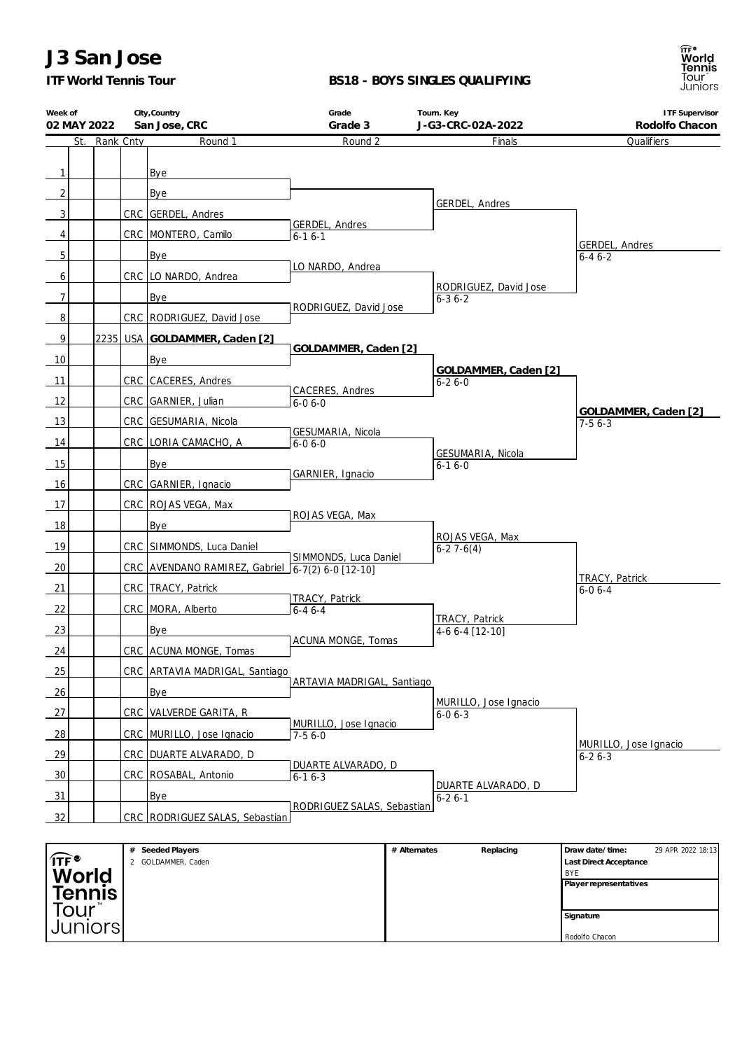*ITF World Tennis Tour*

### **BS18 - BOYS SINGLES QUALIFYING**



| Week of<br>02 MAY 2022    |               | City, Country<br>San Jose, CRC                   | Grade<br>Grade 3           |              | Tourn. Key<br>J-G3-CRC-02A-2022       | <b>ITF Supervisor</b><br>Rodolfo Chacon                               |
|---------------------------|---------------|--------------------------------------------------|----------------------------|--------------|---------------------------------------|-----------------------------------------------------------------------|
|                           | St. Rank Cnty | Round 1                                          | Round 2                    |              | Finals                                | Qualifiers                                                            |
|                           |               |                                                  |                            |              |                                       |                                                                       |
| 1                         |               | Bye                                              |                            |              |                                       |                                                                       |
| $\overline{c}$            |               | Bye                                              |                            |              |                                       |                                                                       |
| 3                         |               | CRC GERDEL, Andres                               |                            |              | GERDEL, Andres                        |                                                                       |
| 4                         |               |                                                  | GERDEL, Andres             |              |                                       |                                                                       |
|                           |               | CRC MONTERO, Camilo                              | $6 - 16 - 1$               |              |                                       | GERDEL, Andres                                                        |
| 5                         |               | Bye                                              | LO NARDO, Andrea           |              |                                       | $6 - 46 - 2$                                                          |
| 6                         |               | CRC   LO NARDO, Andrea                           |                            |              | RODRIGUEZ, David Jose                 |                                                                       |
| $\overline{7}$            |               | Bye                                              | RODRIGUEZ, David Jose      |              | $6 - 36 - 2$                          |                                                                       |
| 8                         |               | CRC   RODRIGUEZ, David Jose                      |                            |              |                                       |                                                                       |
| 9                         |               | 2235 USA GOLDAMMER, Caden [2]                    |                            |              |                                       |                                                                       |
| 10                        |               | Bye                                              | GOLDAMMER, Caden [2]       |              |                                       |                                                                       |
| 11                        |               | CRC CACERES, Andres                              |                            |              | GOLDAMMER, Caden [2]<br>$6 - 26 - 0$  |                                                                       |
| 12                        |               | CRC GARNIER, Julian                              | CACERES, Andres            |              |                                       |                                                                       |
|                           |               |                                                  | $6 - 06 - 0$               |              |                                       | GOLDAMMER, Caden [2]                                                  |
| 13                        |               | CRC GESUMARIA, Nicola                            | GESUMARIA, Nicola          |              |                                       | $7-56-3$                                                              |
| 14                        |               | CRC LORIA CAMACHO, A                             | $6 - 06 - 0$               |              | GESUMARIA, Nicola                     |                                                                       |
| 15                        |               | Bye                                              | GARNIER, Ignacio           |              | $6 - 16 - 0$                          |                                                                       |
| 16                        |               | CRC GARNIER, Ignacio                             |                            |              |                                       |                                                                       |
| 17                        |               | CRC ROJAS VEGA, Max                              |                            |              |                                       |                                                                       |
| 18                        |               | Bye                                              | ROJAS VEGA, Max            |              |                                       |                                                                       |
| 19                        |               | CRC SIMMONDS, Luca Daniel                        |                            |              | ROJAS VEGA, Max<br>$6-27-6(4)$        |                                                                       |
|                           |               |                                                  | SIMMONDS, Luca Daniel      |              |                                       |                                                                       |
| 20                        |               | CRC AVENDANO RAMIREZ, Gabriel 6-7(2) 6-0 [12-10] |                            |              |                                       | TRACY, Patrick                                                        |
| 21                        |               | CRC TRACY, Patrick                               | TRACY, Patrick             |              |                                       | $6 - 06 - 4$                                                          |
| 22                        |               | CRC MORA, Alberto                                | $6 - 46 - 4$               |              | TRACY, Patrick                        |                                                                       |
| 23                        |               | Bye                                              |                            |              | 4-6 6-4 [12-10]                       |                                                                       |
| 24                        |               | CRC ACUNA MONGE, Tomas                           | ACUNA MONGE, Tomas         |              |                                       |                                                                       |
| 25                        |               | CRC ARTAVIA MADRIGAL, Santiago                   |                            |              |                                       |                                                                       |
| 26                        |               | Bye                                              | ARTAVIA MADRIGAL, Santiago |              |                                       |                                                                       |
| 27                        |               | CRC VALVERDE GARITA, R                           |                            |              | MURILLO, Jose Ignacio<br>$6 - 06 - 3$ |                                                                       |
|                           |               |                                                  | MURILLO, Jose Ignacio      |              |                                       |                                                                       |
| 28                        |               | CRC MURILLO, Jose Ignacio                        | $7 - 56 - 0$               |              |                                       | MURILLO, Jose Ignacio                                                 |
| 29                        |               | CRC   DUARTE ALVARADO, D                         | DUARTE ALVARADO, D         |              |                                       | $6 - 26 - 3$                                                          |
| 30                        |               | CRC   ROSABAL, Antonio                           | $6 - 16 - 3$               |              | DUARTE ALVARADO, D                    |                                                                       |
| 31                        |               | Bye                                              |                            |              | $6 - 26 - 1$                          |                                                                       |
| 32                        |               | CRC   RODRIGUEZ SALAS, Sebastian                 | RODRIGUEZ SALAS, Sebastian |              |                                       |                                                                       |
|                           |               |                                                  |                            |              |                                       |                                                                       |
| <sub>ा⊤ह</sub> •<br>World |               | # Seeded Players<br>2 GOLDAMMER, Caden           |                            | # Alternates | Replacing                             | 29 APR 2022 18:13<br>Draw date/time:<br>Last Direct Acceptance<br>BYE |

|                         | Seeded Players<br>$^{+}$ | # Alternates | Replacing | Draw date/time:               | 29 APR 2022 18:13 |
|-------------------------|--------------------------|--------------|-----------|-------------------------------|-------------------|
| $\mathsf{Tr}^{\bullet}$ | GOLDAMMER, Caden         |              |           | <b>Last Direct Acceptance</b> |                   |
| World                   |                          |              |           | BYE                           |                   |
|                         |                          |              |           | Player representatives        |                   |
| <b>Tennis</b>           |                          |              |           |                               |                   |
| Tour                    |                          |              |           |                               |                   |
|                         |                          |              |           | Signature                     |                   |
| Juniors                 |                          |              |           |                               |                   |
|                         |                          |              |           | Rodolfo Chacon                |                   |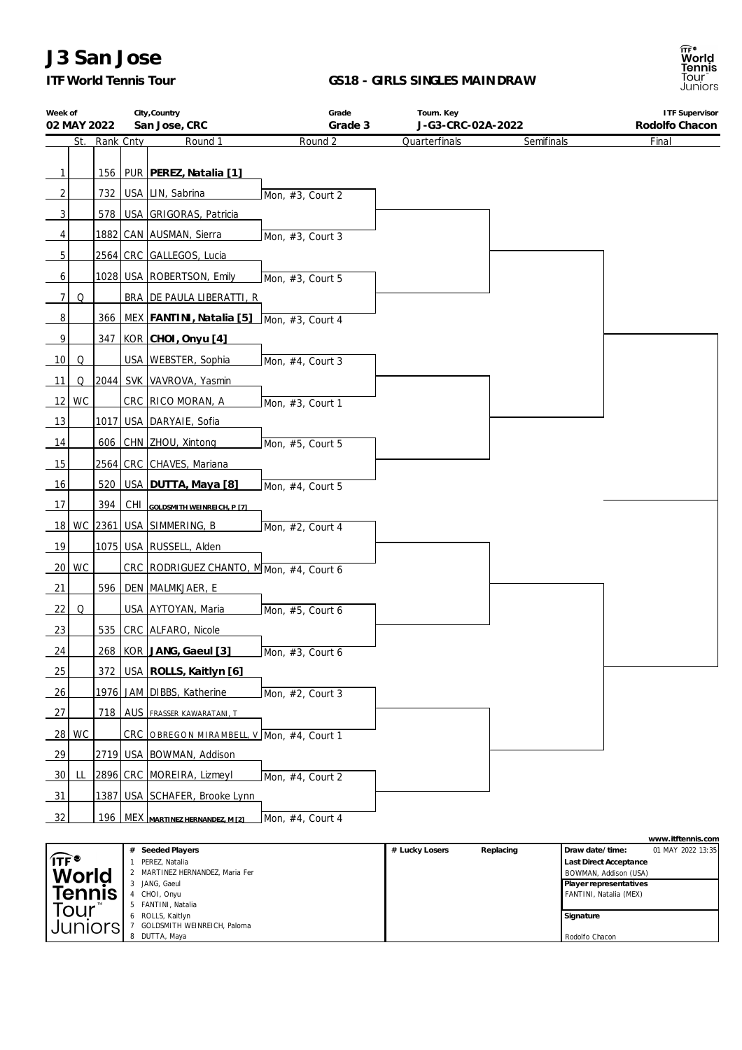## *ITF World Tennis Tour*

#### **GS18 - GIRLS SINGLES MAINDRAW**

| Week of<br>02 MAY 2022 |     |           | City, Country<br>San Jose, CRC                    | Grade<br>Grade 3 | Tourn. Key<br>J-G3-CRC-02A-2022 |            | <b>ITF Supervisor</b><br>Rodolfo Chacon |
|------------------------|-----|-----------|---------------------------------------------------|------------------|---------------------------------|------------|-----------------------------------------|
|                        | St. | Rank Cnty | Round 1                                           | Round 2          | Quarterfinals                   | Semifinals | Final                                   |
|                        |     |           |                                                   |                  |                                 |            |                                         |
| $\mathbf{1}$           |     |           | 156   PUR   PEREZ, Natalia [1]                    |                  |                                 |            |                                         |
| 2                      |     |           | 732   USA   LIN, Sabrina                          | Mon, #3, Court 2 |                                 |            |                                         |
| 3                      |     |           | 578   USA GRIGORAS, Patricia                      |                  |                                 |            |                                         |
| 4                      |     |           | 1882 CAN AUSMAN, Sierra                           | Mon, #3, Court 3 |                                 |            |                                         |
| 5                      |     |           | 2564 CRC GALLEGOS, Lucia                          |                  |                                 |            |                                         |
| 6                      |     |           | 1028   USA   ROBERTSON, Emily                     | Mon, #3, Court 5 |                                 |            |                                         |
| 7                      | Q   |           | BRA DE PAULA LIBERATTI, R                         |                  |                                 |            |                                         |
| 8                      |     |           | 366   MEX   FANTINI, Natalia [5] Mon, #3, Court 4 |                  |                                 |            |                                         |
| 9                      |     |           | 347   KOR   CHOI, Onyu [4]                        |                  |                                 |            |                                         |
| 10                     | Q   |           | USA   WEBSTER, Sophia                             | Mon, #4, Court 3 |                                 |            |                                         |
| 11                     | Q   |           | 2044 SVK VAVROVA, Yasmin                          |                  |                                 |            |                                         |
| $12$ WC                |     |           | CRC RICO MORAN, A                                 | Mon, #3, Court 1 |                                 |            |                                         |
| 13                     |     |           | 1017 USA DARYAIE, Sofia                           |                  |                                 |            |                                         |
| 14                     |     |           | 606   CHN   ZHOU, Xintong                         | Mon, #5, Court 5 |                                 |            |                                         |
| 15                     |     |           | 2564 CRC CHAVES, Mariana                          |                  |                                 |            |                                         |
| 16                     |     |           | 520   USA   DUTTA, Maya [8]                       | Mon, #4, Court 5 |                                 |            |                                         |
| 17                     |     | 394       | CHI GOLDSMITH WEINREICH, P [7]                    |                  |                                 |            |                                         |
|                        |     |           | 18   WC   2361   USA   SIMMERING, B               | Mon, #2, Court 4 |                                 |            |                                         |
| 19                     |     |           | 1075 USA RUSSELL, Alden                           |                  |                                 |            |                                         |
| $20$ WC                |     |           | CRC RODRIGUEZ CHANTO, M Mon, #4, Court 6          |                  |                                 |            |                                         |
| 21                     |     |           | 596   DEN   MALMKJAER, E                          |                  |                                 |            |                                         |
| 22                     | Q   |           | USA AYTOYAN, Maria                                | Mon, #5, Court 6 |                                 |            |                                         |
| 23                     |     |           | 535 CRC ALFARO, Nicole                            |                  |                                 |            |                                         |
| 24                     |     |           | 268   KOR   JANG, Gaeul [3]                       | Mon, #3, Court 6 |                                 |            |                                         |
| 25                     |     |           | 372 USA ROLLS, Kaitlyn [6]                        |                  |                                 |            |                                         |
| $\frac{26}{ }$         |     |           | 1976 JAM DIBBS, Katherine                         | Mon, #2, Court 3 |                                 |            |                                         |
| 27                     |     |           | <b>718   AUS   FRASSER KAWARATANI, T</b>          |                  |                                 |            |                                         |
| 28 WC                  |     |           | CRC OBREGON MIRAMBELL, V Mon, #4, Court 1         |                  |                                 |            |                                         |
| 29                     |     |           | 2719 USA BOWMAN, Addison                          |                  |                                 |            |                                         |
| 30                     | LL  |           | 2896 CRC MOREIRA, Lizmeyl                         | Mon, #4, Court 2 |                                 |            |                                         |
| <u>_31</u>             |     |           | 1387 USA SCHAFER, Brooke Lynn                     |                  |                                 |            |                                         |
| 32                     |     |           | 196 MEX MARTINEZ HERNANDEZ, M [2]                 | Mon, #4, Court 4 |                                 |            |                                         |
|                        |     |           |                                                   |                  |                                 |            | www.itftennis.com                       |

|                                  |                               |                |           |                        | <u>vvvvv. ILI LOI II II.3. CON I</u> |
|----------------------------------|-------------------------------|----------------|-----------|------------------------|--------------------------------------|
|                                  | Seeded Players                | # Lucky Losers | Replacing | Draw date/time:        | 01 MAY 2022 13:35                    |
| $\widehat{\mathsf{ITF}}^\bullet$ | PEREZ, Natalia                |                |           | Last Direct Acceptance |                                      |
| <b>World</b>                     | MARTINEZ HERNANDEZ, Maria Fer |                |           | BOWMAN, Addison (USA)  |                                      |
|                                  | JANG, Gaeul                   |                |           | Player representatives |                                      |
| <b>Tennis</b>                    | CHOI, Onyu                    |                |           | FANTINI, Natalia (MEX) |                                      |
| Tour™                            | FANTINI, Natalia              |                |           |                        |                                      |
|                                  | ROLLS, Kaitlyn                |                |           | Signature              |                                      |
| Juniors                          | GOLDSMITH WEINREICH, Paloma   |                |           |                        |                                      |
|                                  | DUTTA, Maya                   |                |           | Rodolfo Chacon         |                                      |